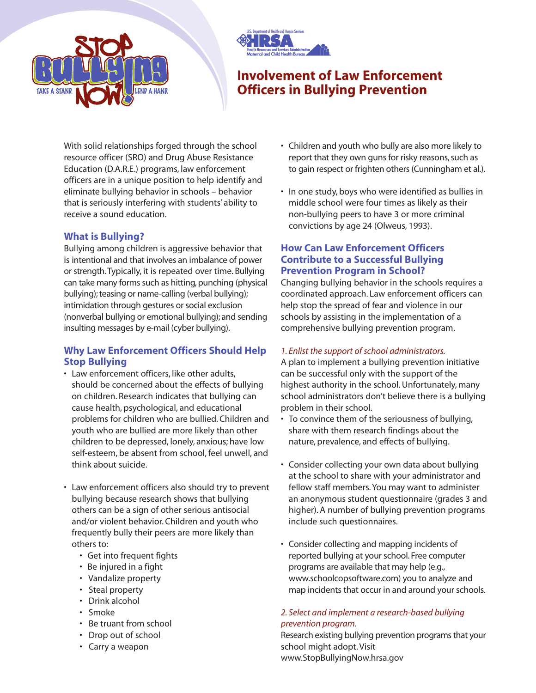



# **Involvement of Law Enforcement Officers in Bullying Prevention**

With solid relationships forged through the school resource officer (SRO) and Drug Abuse Resistance Education (D.A.R.E.) programs, law enforcement officers are in a unique position to help identify and eliminate bullying behavior in schools – behavior that is seriously interfering with students' ability to receive a sound education.

# **What is Bullying?**

Bullying among children is aggressive behavior that is intentional and that involves an imbalance of power or strength.Typically, it is repeated over time. Bullying can take many forms such as hitting, punching (physical bullying); teasing or name-calling (verbal bullying); intimidation through gestures or social exclusion (nonverbal bullying or emotional bullying); and sending insulting messages by e-mail (cyber bullying).

# **Why Law Enforcement Officers Should Help Stop Bullying**

- Law enforcement officers, like other adults, should be concerned about the effects of bullying on children. Research indicates that bullying can cause health, psychological, and educational problems for children who are bullied. Children and youth who are bullied are more likely than other children to be depressed, lonely, anxious; have low self-esteem, be absent from school, feel unwell, and think about suicide.
- Law enforcement officers also should try to prevent bullying because research shows that bullying others can be a sign of other serious antisocial and/or violent behavior. Children and youth who frequently bully their peers are more likely than others to:
	- Get into frequent fights
	- Be injured in a fight
	- Vandalize property
	- Steal property
	- Drink alcohol
	- Smoke
	- Be truant from school
	- Drop out of school
	- Carry a weapon
- Children and youth who bully are also more likely to report that they own guns for risky reasons, such as to gain respect or frighten others (Cunningham et al.).
- In one study, boys who were identified as bullies in middle school were four times as likely as their non-bullying peers to have 3 or more criminal convictions by age 24 (Olweus, 1993).

# **How Can Law Enforcement Officers Contribute to a Successful Bullying Prevention Program in School?**

Changing bullying behavior in the schools requires a coordinated approach. Law enforcement officers can help stop the spread of fear and violence in our schools by assisting in the implementation of a comprehensive bullying prevention program.

## *1. Enlist the support of school administrators.*

A plan to implement a bullying prevention initiative can be successful only with the support of the highest authority in the school. Unfortunately, many school administrators don't believe there is a bullying problem in their school.

- To convince them of the seriousness of bullying, share with them research findings about the nature, prevalence, and effects of bullying.
- Consider collecting your own data about bullying at the school to share with your administrator and fellow staff members. You may want to administer an anonymous student questionnaire (grades 3 and higher). A number of bullying prevention programs include such questionnaires.
- Consider collecting and mapping incidents of reported bullying at your school. Free computer programs are available that may help (e.g., www.schoolcopsoftware.com) you to analyze and map incidents that occur in and around your schools.

# *2. Select and implement a research-based bullying prevention program.*

Research existing bullying prevention programs that your school might adopt. Visit www.StopBullyingNow.hrsa.gov